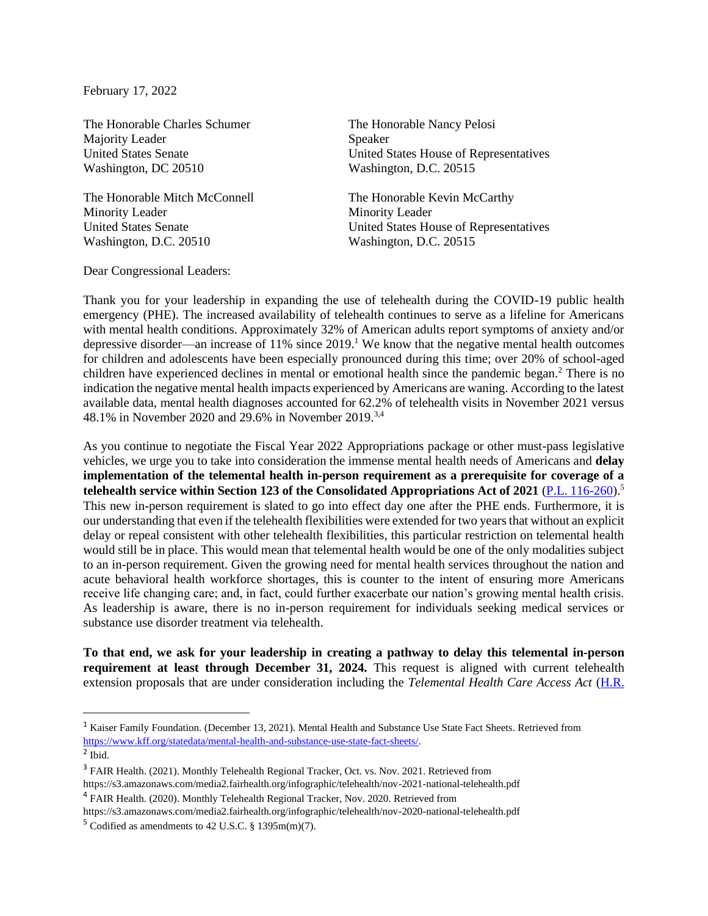February 17, 2022

The Honorable Charles Schumer Majority Leader United States Senate Washington, DC 20510

The Honorable Mitch McConnell Minority Leader United States Senate Washington, D.C. 20510

The Honorable Nancy Pelosi Speaker United States House of Representatives Washington, D.C. 20515

The Honorable Kevin McCarthy Minority Leader United States House of Representatives Washington, D.C. 20515

Dear Congressional Leaders:

Thank you for your leadership in expanding the use of telehealth during the COVID-19 public health emergency (PHE). The increased availability of telehealth continues to serve as a lifeline for Americans with mental health conditions. Approximately 32% of American adults report symptoms of anxiety and/or depressive disorder—an increase of 11% since 2019.<sup>1</sup> We know that the negative mental health outcomes for children and adolescents have been especially pronounced during this time; over 20% of school-aged children have experienced declines in mental or emotional health since the pandemic began.<sup>2</sup> There is no indication the negative mental health impacts experienced by Americans are waning. According to the latest available data, mental health diagnoses accounted for 62.2% of telehealth visits in November 2021 versus 48.1% in November 2020 and 29.6% in November 2019.3,4

As you continue to negotiate the Fiscal Year 2022 Appropriations package or other must-pass legislative vehicles, we urge you to take into consideration the immense mental health needs of Americans and **delay implementation of the telemental health in-person requirement as a prerequisite for coverage of a telehealth service within Section 123 of the Consolidated Appropriations Act of 2021** [\(P.L. 116-260\)](https://www.congress.gov/bill/116th-congress/house-bill/133/text).<sup>5</sup> This new in-person requirement is slated to go into effect day one after the PHE ends. Furthermore, it is our understanding that even if the telehealth flexibilities were extended for two years that without an explicit delay or repeal consistent with other telehealth flexibilities, this particular restriction on telemental health would still be in place. This would mean that telemental health would be one of the only modalities subject to an in-person requirement. Given the growing need for mental health services throughout the nation and acute behavioral health workforce shortages, this is counter to the intent of ensuring more Americans receive life changing care; and, in fact, could further exacerbate our nation's growing mental health crisis. As leadership is aware, there is no in-person requirement for individuals seeking medical services or substance use disorder treatment via telehealth.

**To that end, we ask for your leadership in creating a pathway to delay this telemental in-person requirement at least through December 31, 2024.** This request is aligned with current telehealth extension proposals that are under consideration including the *Telemental Health Care Access Act* [\(H.R.](https://www.congress.gov/bill/117th-congress/house-bill/4058) 

https://s3.amazonaws.com/media2.fairhealth.org/infographic/telehealth/nov-2020-national-telehealth.pdf  $^5$  Codified as amendments to 42 U.S.C. § 1395m(m)(7).

<sup>&</sup>lt;sup>1</sup> Kaiser Family Foundation. (December 13, 2021). Mental Health and Substance Use State Fact Sheets. Retrieved from [https://www.kff.org/statedata/mental-health-and-substance-use-state-fact-sheets/.](https://www.kff.org/statedata/mental-health-and-substance-use-state-fact-sheets/)

 $<sup>2</sup>$  Ibid.</sup>

<sup>&</sup>lt;sup>3</sup> FAIR Health. (2021). Monthly Telehealth Regional Tracker, Oct. vs. Nov. 2021. Retrieved from

https://s3.amazonaws.com/media2.fairhealth.org/infographic/telehealth/nov-2021-national-telehealth.pdf

<sup>&</sup>lt;sup>4</sup> FAIR Health. (2020). Monthly Telehealth Regional Tracker, Nov. 2020. Retrieved from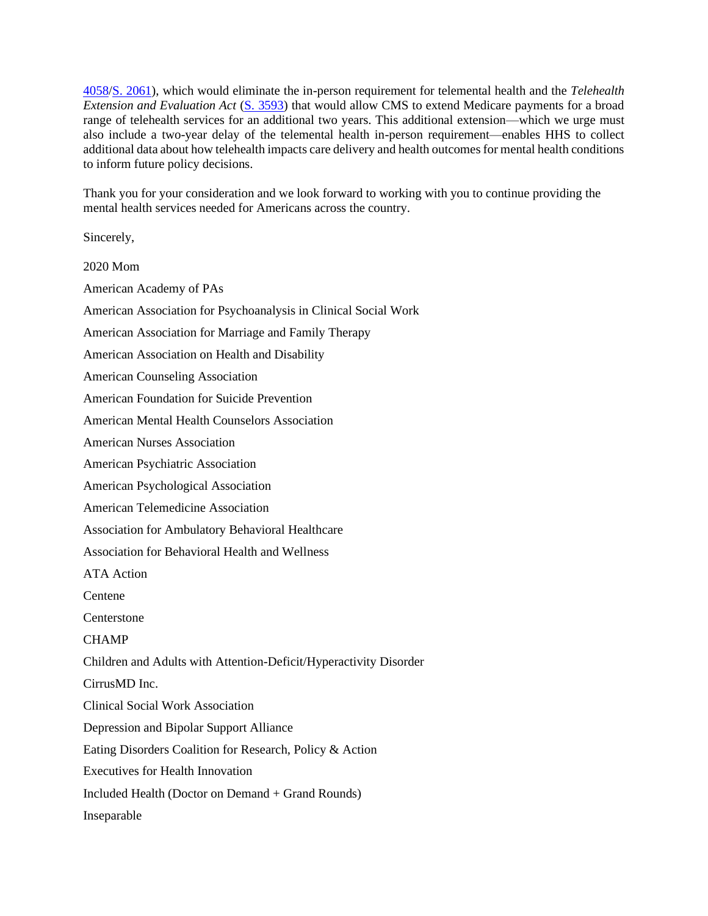[4058](https://www.congress.gov/bill/117th-congress/house-bill/4058)[/S. 2061\)](https://www.congress.gov/bill/117th-congress/senate-bill/2061), which would eliminate the in-person requirement for telemental health and the *Telehealth Extension and Evaluation Act* [\(S. 3593\)](https://www.congress.gov/bill/117th-congress/senate-bill/3593?q=%7B%22search%22%3A%5B%22Department%22%2C%22of%22%2C%22Agriculture%22%5D%7D&s=1&r=11) that would allow CMS to extend Medicare payments for a broad range of telehealth services for an additional two years. This additional extension—which we urge must also include a two-year delay of the telemental health in-person requirement—enables HHS to collect additional data about how telehealth impacts care delivery and health outcomes for mental health conditions to inform future policy decisions.

Thank you for your consideration and we look forward to working with you to continue providing the mental health services needed for Americans across the country.

Sincerely,

2020 Mom

American Academy of PAs

American Association for Psychoanalysis in Clinical Social Work

American Association for Marriage and Family Therapy

American Association on Health and Disability

American Counseling Association

American Foundation for Suicide Prevention

American Mental Health Counselors Association

American Nurses Association

American Psychiatric Association

American Psychological Association

American Telemedicine Association

Association for Ambulatory Behavioral Healthcare

Association for Behavioral Health and Wellness

ATA Action

Centene

Centerstone

**CHAMP** 

Children and Adults with Attention-Deficit/Hyperactivity Disorder

CirrusMD Inc.

Clinical Social Work Association

Depression and Bipolar Support Alliance

Eating Disorders Coalition for Research, Policy & Action

Executives for Health Innovation

Included Health (Doctor on Demand + Grand Rounds)

Inseparable